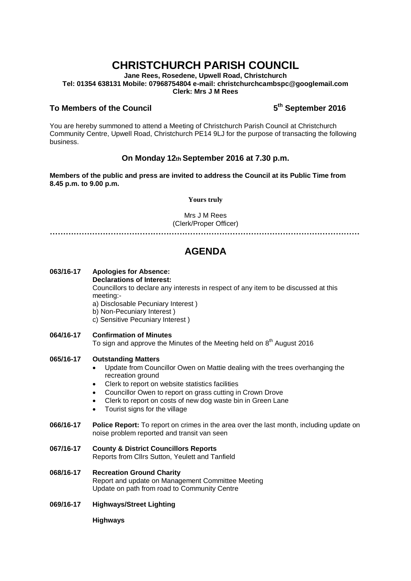# **CHRISTCHURCH PARISH COUNCIL**

**Jane Rees, Rosedene, Upwell Road, Christchurch Tel: 01354 638131 Mobile: 07968754804 e-mail: christchurchcambspc@googlemail.com Clerk: Mrs J M Rees**

## **To Members of the Council 5**

# **th September 2016**

You are hereby summoned to attend a Meeting of Christchurch Parish Council at Christchurch Community Centre, Upwell Road, Christchurch PE14 9LJ for the purpose of transacting the following business.

# **On Monday 12th September 2016 at 7.30 p.m.**

**Members of the public and press are invited to address the Council at its Public Time from 8.45 p.m. to 9.00 p.m.** 

#### **Yours truly**

Mrs J M Rees (Clerk/Proper Officer)

**………………………………………………………………………………………………………**

# **AGENDA**

### **063/16-17 Apologies for Absence: Declarations of Interest:**  Councillors to declare any interests in respect of any item to be discussed at this meeting:-

a) Disclosable Pecuniary Interest )

- b) Non-Pecuniary Interest )
- c) Sensitive Pecuniary Interest )
- **064/16-17 Confirmation of Minutes**  To sign and approve the Minutes of the Meeting held on  $8<sup>th</sup>$  August 2016

#### **065/16-17 Outstanding Matters**

- Update from Councillor Owen on Mattie dealing with the trees overhanging the recreation ground
- Clerk to report on website statistics facilities
- Councillor Owen to report on grass cutting in Crown Drove
- Clerk to report on costs of new dog waste bin in Green Lane
- Tourist signs for the village
- **066/16-17 Police Report:** To report on crimes in the area over the last month, including update on noise problem reported and transit van seen
- **067/16-17 County & District Councillors Reports**  Reports from Cllrs Sutton, Yeulett and Tanfield
- **068/16-17 Recreation Ground Charity**  Report and update on Management Committee Meeting Update on path from road to Community Centre
- **069/16-17 Highways/Street Lighting**

#### **Highways**